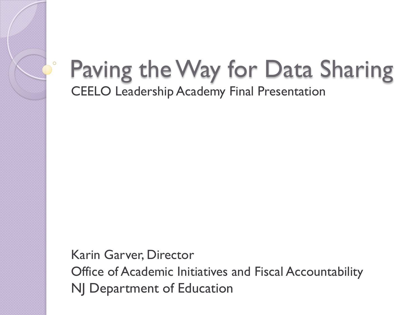#### Paving the Way for Data Sharing CEELO Leadership Academy Final Presentation

Karin Garver, Director Office of Academic Initiatives and Fiscal Accountability NJ Department of Education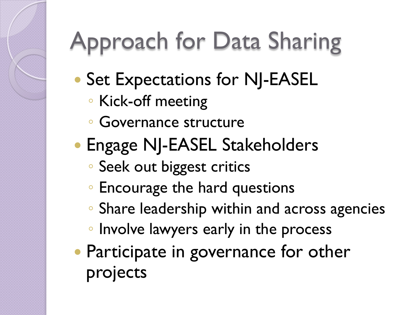# Approach for Data Sharing

- Set Expectations for NJ-EASEL
	- Kick-off meeting
	- Governance structure
- **Engage NJ-EASEL Stakeholders** 
	- Seek out biggest critics
	- Encourage the hard questions
	- Share leadership within and across agencies
	- Involve lawyers early in the process
- Participate in governance for other projects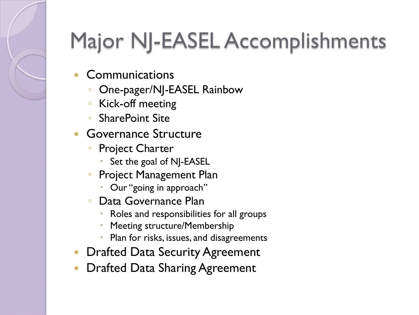#### Major NJ-EASEL Accomplishments

- **Communications** 
	- One-pager/NJ-EASEL Rainbow
	- Kick-off meeting
	- SharePoint Site
- Governance Structure
	- Project Charter
		- Set the goal of NJ-EASEL
	- Project Management Plan
		- Our "going in approach"
	- Data Governance Plan
		- Roles and responsibilities for all groups
		- Meeting structure/Membership
		- Plan for risks, issues, and disagreements
- **Drafted Data Security Agreement**
- Drafted Data Sharing Agreement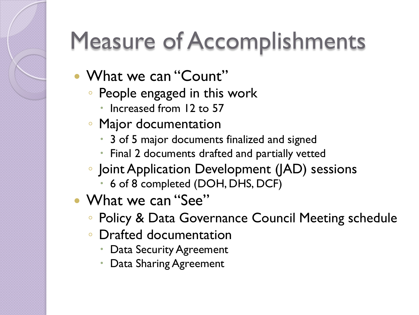# Measure of Accomplishments

- What we can "Count"
	- People engaged in this work
		- Increased from 12 to 57
	- Major documentation
		- 3 of 5 major documents finalized and signed
		- Final 2 documents drafted and partially vetted
	- Joint Application Development (JAD) sessions
		- 6 of 8 completed (DOH, DHS, DCF)
- What we can "See"
	- Policy & Data Governance Council Meeting schedule
	- Drafted documentation
		- Data Security Agreement
		- Data Sharing Agreement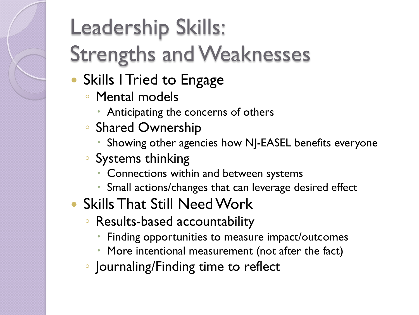### Leadership Skills: Strengths and Weaknesses

- Skills I Tried to Engage
	- Mental models
		- Anticipating the concerns of others
	- Shared Ownership
		- Showing other agencies how NJ-EASEL benefits everyone
	- Systems thinking
		- Connections within and between systems
		- Small actions/changes that can leverage desired effect
- Skills That Still Need Work
	- Results-based accountability
		- Finding opportunities to measure impact/outcomes
		- More intentional measurement (not after the fact)
	- Journaling/Finding time to reflect